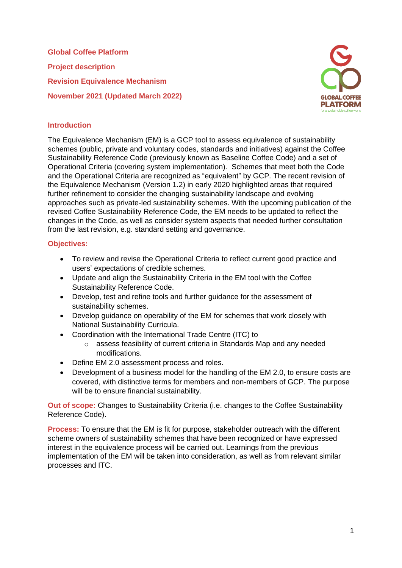**Global Coffee Platform Project description Revision Equivalence Mechanism November 2021 (Updated March 2022)**



### **Introduction**

The Equivalence Mechanism (EM) is a GCP tool to assess equivalence of sustainability schemes (public, private and voluntary codes, standards and initiatives) against the Coffee Sustainability Reference Code (previously known as Baseline Coffee Code) and a set of Operational Criteria (covering system implementation). Schemes that meet both the Code and the Operational Criteria are recognized as "equivalent" by GCP. The recent revision of the Equivalence Mechanism (Version 1.2) in early 2020 highlighted areas that required further refinement to consider the changing sustainability landscape and evolving approaches such as private-led sustainability schemes. With the upcoming publication of the revised Coffee Sustainability Reference Code, the EM needs to be updated to reflect the changes in the Code, as well as consider system aspects that needed further consultation from the last revision, e.g. standard setting and governance.

#### **Objectives:**

- To review and revise the Operational Criteria to reflect current good practice and users' expectations of credible schemes.
- Update and align the Sustainability Criteria in the EM tool with the Coffee Sustainability Reference Code.
- Develop, test and refine tools and further guidance for the assessment of sustainability schemes.
- Develop guidance on operability of the EM for schemes that work closely with National Sustainability Curricula.
- Coordination with the International Trade Centre (ITC) to
	- o assess feasibility of current criteria in Standards Map and any needed modifications.
- Define EM 2.0 assessment process and roles.
- Development of a business model for the handling of the EM 2.0, to ensure costs are covered, with distinctive terms for members and non-members of GCP. The purpose will be to ensure financial sustainability.

**Out of scope:** Changes to Sustainability Criteria (i.e. changes to the Coffee Sustainability Reference Code).

**Process:** To ensure that the EM is fit for purpose, stakeholder outreach with the different scheme owners of sustainability schemes that have been recognized or have expressed interest in the equivalence process will be carried out. Learnings from the previous implementation of the EM will be taken into consideration, as well as from relevant similar processes and ITC.